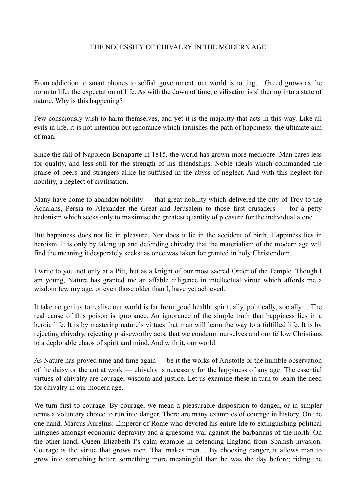## THE NECESSITY OF CHIVALRY IN THE MODERN AGE

From addiction to smart phones to selfish government, our world is rotting… Greed grows as the norm to life: the expectation of life. As with the dawn of time, civilisation is slithering into a state of nature. Why is this happening?

Few consciously wish to harm themselves, and yet it is the majority that acts in this way. Like all evils in life, it is not intention but ignorance which tarnishes the path of happiness: the ultimate aim of man.

Since the fall of Napoleon Bonaparte in 1815, the world has grown more mediocre. Man cares less for quality, and less still for the strength of his friendships. Noble ideals which commanded the praise of peers and strangers alike lie suffused in the abyss of neglect. And with this neglect for nobility, a neglect of civilisation.

Many have come to abandon nobility — that great nobility which delivered the city of Troy to the Achaians, Persia to Alexander the Great and Jerusalem to those first crusaders — for a petty hedonism which seeks only to maximise the greatest quantity of pleasure for the individual alone.

But happiness does not lie in pleasure. Nor does it lie in the accident of birth. Happiness lies in heroism. It is only by taking up and defending chivalry that the materialism of the modern age will find the meaning it desperately seeks: as once was taken for granted in holy Christendom.

I write to you not only at a Pitt, but as a knight of our most sacred Order of the Temple. Though I am young, Nature has granted me an affable diligence in intellectual virtue which affords me a wisdom few my age, or even those older than I, have yet achieved.

It take no genius to realise our world is far from good health: spiritually, politically, socially… The real cause of this poison is ignorance. An ignorance of the simple truth that happiness lies in a heroic life. It is by mastering nature's virtues that man will learn the way to a fulfilled life. It is by rejecting chivalry, rejecting praiseworthy acts, that we condemn ourselves and our fellow Christians to a deplorable chaos of spirit and mind. And with it, our world.

As Nature has proved time and time again — be it the works of Aristotle or the humble observation of the daisy or the ant at work — chivalry is necessary for the happiness of any age. The essential virtues of chivalry are courage, wisdom and justice. Let us examine these in turn to learn the need for chivalry in our modern age.

We turn first to courage. By courage, we mean a pleasurable disposition to danger, or in simpler terms a voluntary choice to run into danger. There are many examples of courage in history. On the one hand, Marcus Aurelius: Emperor of Rome who devoted his entire life to extinguishing political intrigues amongst economic depravity and a gruesome war against the barbarians of the north. On the other hand, Queen Elizabeth I's calm example in defending England from Spanish invasion. Courage is the virtue that grows men. That makes men… By choosing danger, it allows man to grow into something better, something more meaningful than he was the day before; riding the